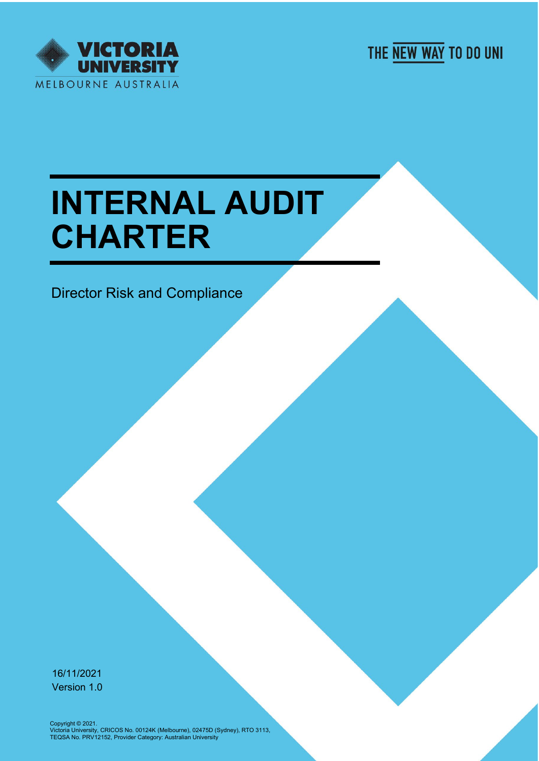

THE NEW WAY TO DO UNI

# **INTERNAL AUDIT CHARTER**

Director Risk and Compliance

16/11/2021 Version 1.0

Copyright © 2021.<br>Victoria University, CRICOS No. 00124K (Melbourne), 02475D (Sydney), RTO 3113,<br>TEQSA No. PRV12152, Provider Category: Australian University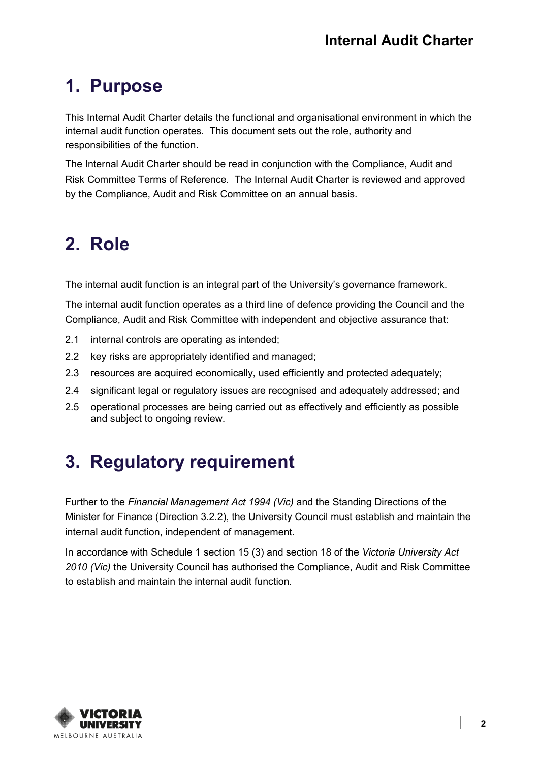## **1. Purpose**

This Internal Audit Charter details the functional and organisational environment in which the internal audit function operates. This document sets out the role, authority and responsibilities of the function.

The Internal Audit Charter should be read in conjunction with the Compliance, Audit and Risk Committee Terms of Reference. The Internal Audit Charter is reviewed and approved by the Compliance, Audit and Risk Committee on an annual basis.

## **2. Role**

The internal audit function is an integral part of the University's governance framework.

The internal audit function operates as a third line of defence providing the Council and the Compliance, Audit and Risk Committee with independent and objective assurance that:

- 2.1 internal controls are operating as intended;
- 2.2 key risks are appropriately identified and managed;
- 2.3 resources are acquired economically, used efficiently and protected adequately;
- 2.4 significant legal or regulatory issues are recognised and adequately addressed; and
- 2.5 operational processes are being carried out as effectively and efficiently as possible and subject to ongoing review.

## **3. Regulatory requirement**

Further to the *Financial Management Act 1994 (Vic)* and the Standing Directions of the Minister for Finance (Direction 3.2.2), the University Council must establish and maintain the internal audit function, independent of management.

In accordance with Schedule 1 section 15 (3) and section 18 of the *Victoria University Act 2010 (Vic)* the University Council has authorised the Compliance, Audit and Risk Committee to establish and maintain the internal audit function.

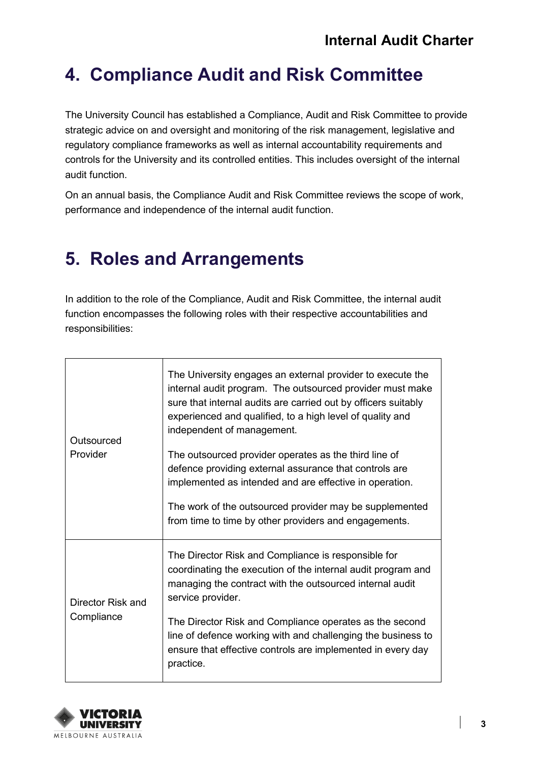#### **4. Compliance Audit and Risk Committee**

The University Council has established a Compliance, Audit and Risk Committee to provide strategic advice on and oversight and monitoring of the risk management, legislative and regulatory compliance frameworks as well as internal accountability requirements and controls for the University and its controlled entities. This includes oversight of the internal audit function.

On an annual basis, the Compliance Audit and Risk Committee reviews the scope of work, performance and independence of the internal audit function.

## **5. Roles and Arrangements**

In addition to the role of the Compliance, Audit and Risk Committee, the internal audit function encompasses the following roles with their respective accountabilities and responsibilities:

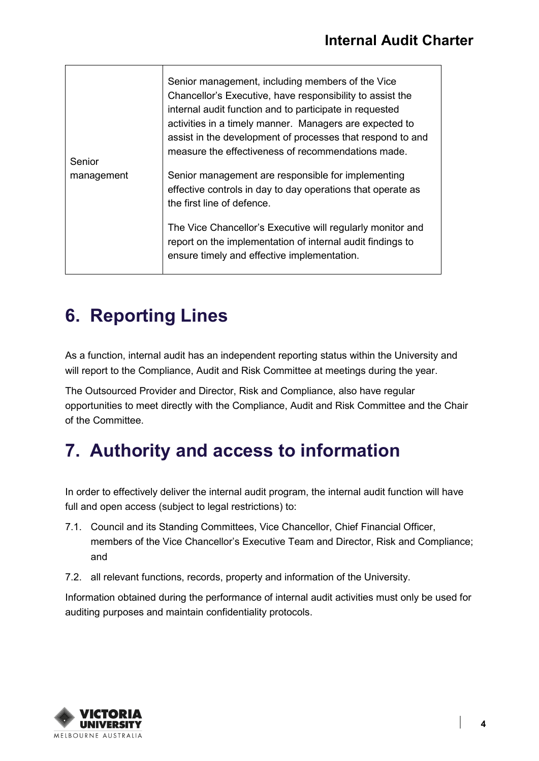| Senior<br>management | Senior management, including members of the Vice<br>Chancellor's Executive, have responsibility to assist the<br>internal audit function and to participate in requested<br>activities in a timely manner. Managers are expected to<br>assist in the development of processes that respond to and<br>measure the effectiveness of recommendations made. |
|----------------------|---------------------------------------------------------------------------------------------------------------------------------------------------------------------------------------------------------------------------------------------------------------------------------------------------------------------------------------------------------|
|                      | Senior management are responsible for implementing<br>effective controls in day to day operations that operate as<br>the first line of defence.<br>The Vice Chancellor's Executive will regularly monitor and                                                                                                                                           |
|                      | report on the implementation of internal audit findings to<br>ensure timely and effective implementation.                                                                                                                                                                                                                                               |

## **6. Reporting Lines**

As a function, internal audit has an independent reporting status within the University and will report to the Compliance, Audit and Risk Committee at meetings during the year.

The Outsourced Provider and Director, Risk and Compliance, also have regular opportunities to meet directly with the Compliance, Audit and Risk Committee and the Chair of the Committee.

## **7. Authority and access to information**

In order to effectively deliver the internal audit program, the internal audit function will have full and open access (subject to legal restrictions) to:

- 7.1. Council and its Standing Committees, Vice Chancellor, Chief Financial Officer, members of the Vice Chancellor's Executive Team and Director, Risk and Compliance; and
- 7.2. all relevant functions, records, property and information of the University.

Information obtained during the performance of internal audit activities must only be used for auditing purposes and maintain confidentiality protocols.

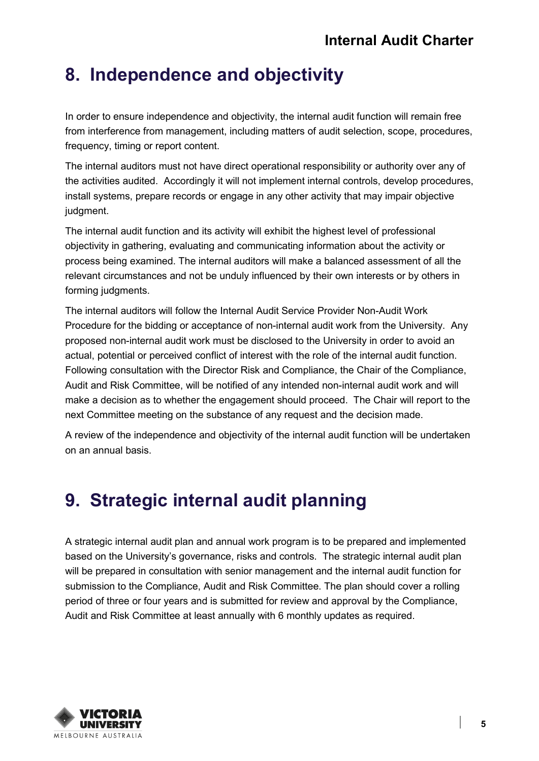## **8. Independence and objectivity**

In order to ensure independence and objectivity, the internal audit function will remain free from interference from management, including matters of audit selection, scope, procedures, frequency, timing or report content.

The internal auditors must not have direct operational responsibility or authority over any of the activities audited. Accordingly it will not implement internal controls, develop procedures, install systems, prepare records or engage in any other activity that may impair objective judgment.

The internal audit function and its activity will exhibit the highest level of professional objectivity in gathering, evaluating and communicating information about the activity or process being examined. The internal auditors will make a balanced assessment of all the relevant circumstances and not be unduly influenced by their own interests or by others in forming judgments.

The internal auditors will follow the Internal Audit Service Provider Non-Audit Work Procedure for the bidding or acceptance of non-internal audit work from the University. Any proposed non-internal audit work must be disclosed to the University in order to avoid an actual, potential or perceived conflict of interest with the role of the internal audit function. Following consultation with the Director Risk and Compliance, the Chair of the Compliance, Audit and Risk Committee, will be notified of any intended non-internal audit work and will make a decision as to whether the engagement should proceed. The Chair will report to the next Committee meeting on the substance of any request and the decision made.

A review of the independence and objectivity of the internal audit function will be undertaken on an annual basis.

# **9. Strategic internal audit planning**

A strategic internal audit plan and annual work program is to be prepared and implemented based on the University's governance, risks and controls. The strategic internal audit plan will be prepared in consultation with senior management and the internal audit function for submission to the Compliance, Audit and Risk Committee. The plan should cover a rolling period of three or four years and is submitted for review and approval by the Compliance, Audit and Risk Committee at least annually with 6 monthly updates as required.

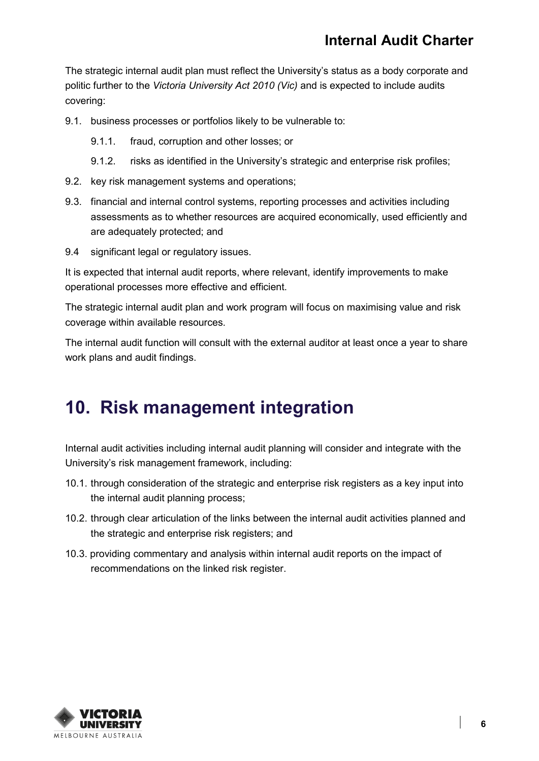The strategic internal audit plan must reflect the University's status as a body corporate and politic further to the *Victoria University Act 2010 (Vic)* and is expected to include audits covering:

- 9.1. business processes or portfolios likely to be vulnerable to:
	- 9.1.1. fraud, corruption and other losses; or
	- 9.1.2. risks as identified in the University's strategic and enterprise risk profiles;
- 9.2. key risk management systems and operations;
- 9.3. financial and internal control systems, reporting processes and activities including assessments as to whether resources are acquired economically, used efficiently and are adequately protected; and
- 9.4 significant legal or regulatory issues.

It is expected that internal audit reports, where relevant, identify improvements to make operational processes more effective and efficient.

The strategic internal audit plan and work program will focus on maximising value and risk coverage within available resources.

The internal audit function will consult with the external auditor at least once a year to share work plans and audit findings.

#### **10. Risk management integration**

Internal audit activities including internal audit planning will consider and integrate with the University's risk management framework, including:

- 10.1. through consideration of the strategic and enterprise risk registers as a key input into the internal audit planning process;
- 10.2. through clear articulation of the links between the internal audit activities planned and the strategic and enterprise risk registers; and
- 10.3. providing commentary and analysis within internal audit reports on the impact of recommendations on the linked risk register.